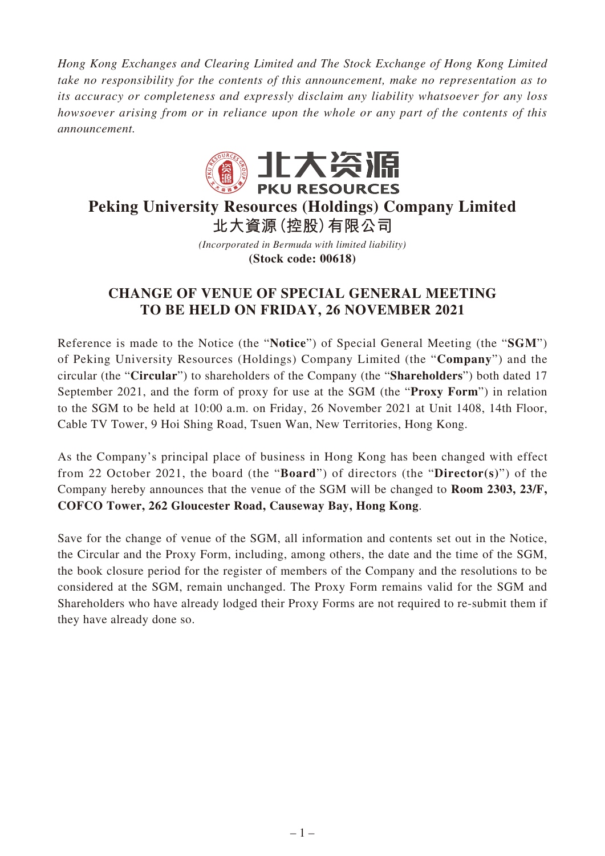*Hong Kong Exchanges and Clearing Limited and The Stock Exchange of Hong Kong Limited take no responsibility for the contents of this announcement, make no representation as to its accuracy or completeness and expressly disclaim any liability whatsoever for any loss howsoever arising from or in reliance upon the whole or any part of the contents of this announcement.*



## **Peking University Resources (Holdings) Company Limited 北大資源(控股)有限公司**

*(Incorporated in Bermuda with limited liability)* **(Stock code: 00618)**

## **CHANGE OF VENUE OF SPECIAL GENERAL MEETING TO BE HELD ON FRIDAY, 26 NOVEMBER 2021**

Reference is made to the Notice (the "**Notice**") of Special General Meeting (the "**SGM**") of Peking University Resources (Holdings) Company Limited (the "**Company**") and the circular (the "**Circular**") to shareholders of the Company (the "**Shareholders**") both dated 17 September 2021, and the form of proxy for use at the SGM (the "**Proxy Form**") in relation to the SGM to be held at 10:00 a.m. on Friday, 26 November 2021 at Unit 1408, 14th Floor, Cable TV Tower, 9 Hoi Shing Road, Tsuen Wan, New Territories, Hong Kong.

As the Company's principal place of business in Hong Kong has been changed with effect from 22 October 2021, the board (the "**Board**") of directors (the "**Director(s)**") of the Company hereby announces that the venue of the SGM will be changed to **Room 2303, 23/F, COFCO Tower, 262 Gloucester Road, Causeway Bay, Hong Kong**.

Save for the change of venue of the SGM, all information and contents set out in the Notice, the Circular and the Proxy Form, including, among others, the date and the time of the SGM, the book closure period for the register of members of the Company and the resolutions to be considered at the SGM, remain unchanged. The Proxy Form remains valid for the SGM and Shareholders who have already lodged their Proxy Forms are not required to re-submit them if they have already done so.